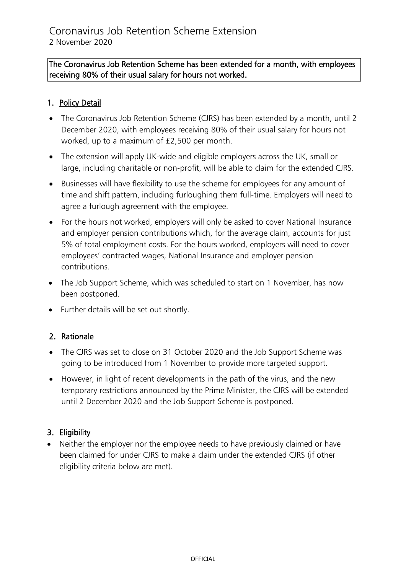## The Coronavirus Job Retention Scheme has been extended for a month, with employees receiving 80% of their usual salary for hours not worked.

## 1. Policy Detail

- The Coronavirus Job Retention Scheme (CJRS) has been extended by a month, until 2 December 2020, with employees receiving 80% of their usual salary for hours not worked, up to a maximum of £2,500 per month.
- The extension will apply UK-wide and eligible employers across the UK, small or large, including charitable or non-profit, will be able to claim for the extended CJRS.
- Businesses will have flexibility to use the scheme for employees for any amount of time and shift pattern, including furloughing them full-time. Employers will need to agree a furlough agreement with the employee.
- For the hours not worked, employers will only be asked to cover National Insurance and employer pension contributions which, for the average claim, accounts for just 5% of total employment costs. For the hours worked, employers will need to cover employees' contracted wages, National Insurance and employer pension contributions.
- The Job Support Scheme, which was scheduled to start on 1 November, has now been postponed.
- Further details will be set out shortly.

## 2. Rationale

- The CJRS was set to close on 31 October 2020 and the Job Support Scheme was going to be introduced from 1 November to provide more targeted support.
- However, in light of recent developments in the path of the virus, and the new temporary restrictions announced by the Prime Minister, the CJRS will be extended until 2 December 2020 and the Job Support Scheme is postponed.

## 3. Eligibility

• Neither the employer nor the employee needs to have previously claimed or have been claimed for under CJRS to make a claim under the extended CJRS (if other eligibility criteria below are met).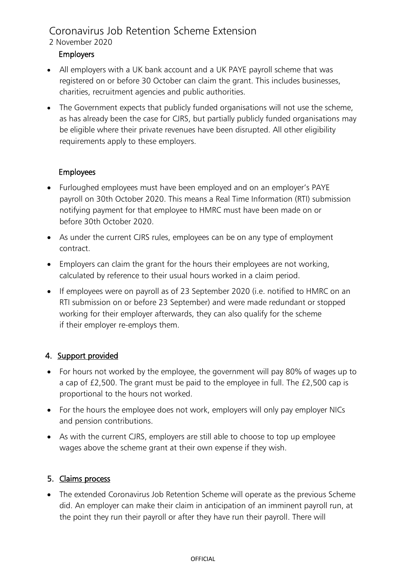# Coronavirus Job Retention Scheme Extension

#### 2 November 2020

## Employers

- All employers with a UK bank account and a UK PAYE payroll scheme that was registered on or before 30 October can claim the grant. This includes businesses, charities, recruitment agencies and public authorities.
- The Government expects that publicly funded organisations will not use the scheme, as has already been the case for CJRS, but partially publicly funded organisations may be eligible where their private revenues have been disrupted. All other eligibility requirements apply to these employers.

## Employees

- Furloughed employees must have been employed and on an employer's PAYE payroll on 30th October 2020. This means a Real Time Information (RTI) submission notifying payment for that employee to HMRC must have been made on or before 30th October 2020.
- As under the current CJRS rules, employees can be on any type of employment contract.
- Employers can claim the grant for the hours their employees are not working, calculated by reference to their usual hours worked in a claim period.
- If employees were on payroll as of 23 September 2020 (i.e. notified to HMRC on an RTI submission on or before 23 September) and were made redundant or stopped working for their employer afterwards, they can also qualify for the scheme if their employer re-employs them.

## 4. Support provided

- For hours not worked by the employee, the government will pay 80% of wages up to a cap of £2,500. The grant must be paid to the employee in full. The £2,500 cap is proportional to the hours not worked.
- For the hours the employee does not work, employers will only pay employer NICs and pension contributions.
- As with the current CJRS, employers are still able to choose to top up employee wages above the scheme grant at their own expense if they wish.

## 5. Claims process

• The extended Coronavirus Job Retention Scheme will operate as the previous Scheme did. An employer can make their claim in anticipation of an imminent payroll run, at the point they run their payroll or after they have run their payroll. There will